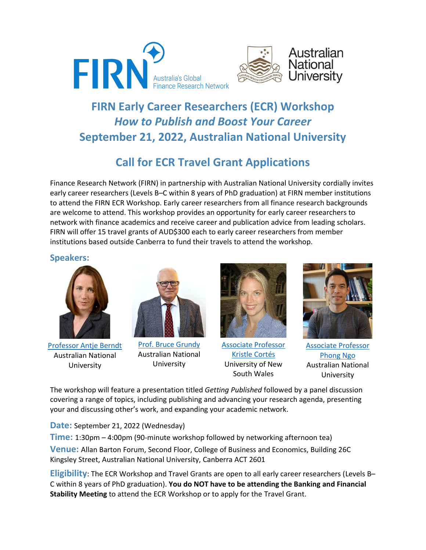



# **FIRN Early Career Researchers (ECR) Workshop** *How to Publish and Boost Your Career* **September 21, 2022, Australian National University**

## **Call for ECR Travel Grant Applications**

Finance Research Network (FIRN) in partnership with Australian National University cordially invites early career researchers (Levels B–C within 8 years of PhD graduation) at FIRN member institutions to attend the FIRN ECR Workshop. Early career researchers from all finance research backgrounds are welcome to attend. This workshop provides an opportunity for early career researchers to network with finance academics and receive career and publication advice from leading scholars. FIRN will offer 15 travel grants of AUD\$300 each to early career researchers from member institutions based outside Canberra to fund their travels to attend the workshop.

### **Speakers:**



[Professor Antje Berndt](https://www.antjeberndt.com/p/bio.html) Australian National University



[Prof. Bruce Grundy](https://brucegrundy.com/) Australian National University



[Associate Professor](https://www.sites.google.com/site/krisromerocortes/)  [Kristle Cortés](https://www.sites.google.com/site/krisromerocortes/) University of New South Wales



[Associate Professor](https://sites.google.com/site/phongthngo/home?authuser=0)  [Phong Ngo](https://sites.google.com/site/phongthngo/home?authuser=0) Australian National University

The workshop will feature a presentation titled *Getting Published* followed by a panel discussion covering a range of topics, including publishing and advancing your research agenda, presenting your and discussing other's work, and expanding your academic network.

**Date:** September 21, 2022 (Wednesday)

**Time:** 1:30pm – 4:00pm (90-minute workshop followed by networking afternoon tea) **Venue:** Allan Barton Forum, Second Floor, College of Business and Economics, Building 26C Kingsley Street, Australian National University, Canberra ACT 2601

**Eligibility**: The ECR Workshop and Travel Grants are open to all early career researchers (Levels B– C within 8 years of PhD graduation). **You do NOT have to be attending the Banking and Financial Stability Meeting** to attend the ECR Workshop or to apply for the Travel Grant.